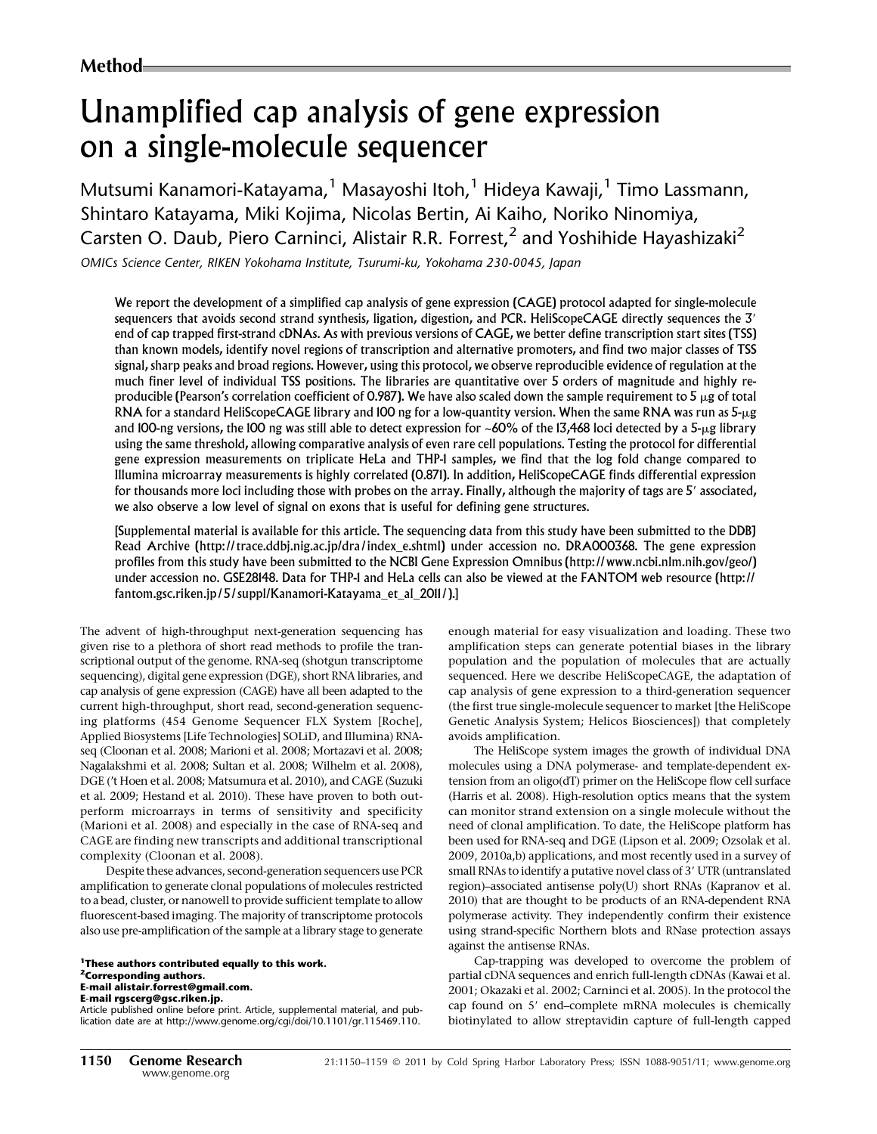# Unamplified cap analysis of gene expression on a single-molecule sequencer

Mutsumi Kanamori-Katayama,<sup>1</sup> Masayoshi Itoh,<sup>1</sup> Hideya Kawaji,<sup>1</sup> Timo Lassmann, Shintaro Katayama, Miki Kojima, Nicolas Bertin, Ai Kaiho, Noriko Ninomiya, Carsten O. Daub, Piero Carninci, Alistair R.R. Forrest,<sup>2</sup> and Yoshihide Hayashizaki<sup>2</sup>

OMICs Science Center, RIKEN Yokohama Institute, Tsurumi-ku, Yokohama 230-0045, Japan

We report the development of a simplified cap analysis of gene expression (CAGE) protocol adapted for single-molecule sequencers that avoids second strand synthesis, ligation, digestion, and PCR. HeliScopeCAGE directly sequences the 3' end of cap trapped first-strand cDNAs. As with previous versions of CAGE, we better define transcription start sites (TSS) than known models, identify novel regions of transcription and alternative promoters, and find two major classes of TSS signal, sharp peaks and broad regions. However, using this protocol, we observe reproducible evidence of regulation at the much finer level of individual TSS positions. The libraries are quantitative over 5 orders of magnitude and highly reproducible (Pearson's correlation coefficient of 0.987). We have also scaled down the sample requirement to 5  $\mu$ g of total RNA for a standard HeliScopeCAGE library and 100 ng for a low-quantity version. When the same RNA was run as  $5-\mu$ g and 100-ng versions, the 100 ng was still able to detect expression for ~60% of the 13,468 loci detected by a 5-µg library using the same threshold, allowing comparative analysis of even rare cell populations. Testing the protocol for differential gene expression measurements on triplicate HeLa and THP-1 samples, we find that the log fold change compared to Illumina microarray measurements is highly correlated (0.871). In addition, HeliScopeCAGE finds differential expression for thousands more loci including those with probes on the array. Finally, although the majority of tags are  $5'$  associated, we also observe a low level of signal on exons that is useful for defining gene structures.

[Supplemental material is available for this article. The sequencing data from this study have been submitted to the DDBJ Read Archive (http://trace.ddbj.nig.ac.jp/dra/index\_e.shtml) under accession no. DRA000368. The gene expression profiles from this study have been submitted to the NCBI Gene Expression Omnibus (http://www.ncbi.nlm.nih.gov/geo/) under accession no. GSE28148. Data for THP-1 and HeLa cells can also be viewed at the FANTOM web resource (http:// fantom.gsc.riken.jp/5/suppl/Kanamori-Katayama\_et\_al\_2011/).]

The advent of high-throughput next-generation sequencing has given rise to a plethora of short read methods to profile the transcriptional output of the genome. RNA-seq (shotgun transcriptome sequencing), digital gene expression (DGE), short RNA libraries, and cap analysis of gene expression (CAGE) have all been adapted to the current high-throughput, short read, second-generation sequencing platforms (454 Genome Sequencer FLX System [Roche], Applied Biosystems [Life Technologies] SOLiD, and Illumina) RNAseq (Cloonan et al. 2008; Marioni et al. 2008; Mortazavi et al. 2008; Nagalakshmi et al. 2008; Sultan et al. 2008; Wilhelm et al. 2008), DGE ('t Hoen et al. 2008; Matsumura et al. 2010), and CAGE (Suzuki et al. 2009; Hestand et al. 2010). These have proven to both outperform microarrays in terms of sensitivity and specificity (Marioni et al. 2008) and especially in the case of RNA-seq and CAGE are finding new transcripts and additional transcriptional complexity (Cloonan et al. 2008).

Despite these advances, second-generation sequencers use PCR amplification to generate clonal populations of molecules restricted to a bead, cluster, or nanowell to provide sufficient template to allow fluorescent-based imaging. The majority of transcriptome protocols also use pre-amplification of the sample at a library stage to generate

<sup>1</sup>These authors contributed equally to this work. <sup>2</sup>Corresponding authors. E-mail alistair.forrest@gmail.com. E-mail rgscerg@gsc.riken.jp.

Article published online before print. Article, supplemental material, and publication date are at http://www.genome.org/cgi/doi/10.1101/gr.115469.110.

enough material for easy visualization and loading. These two amplification steps can generate potential biases in the library population and the population of molecules that are actually sequenced. Here we describe HeliScopeCAGE, the adaptation of cap analysis of gene expression to a third-generation sequencer (the first true single-molecule sequencer to market [the HeliScope Genetic Analysis System; Helicos Biosciences]) that completely avoids amplification.

The HeliScope system images the growth of individual DNA molecules using a DNA polymerase- and template-dependent extension from an oligo(dT) primer on the HeliScope flow cell surface (Harris et al. 2008). High-resolution optics means that the system can monitor strand extension on a single molecule without the need of clonal amplification. To date, the HeliScope platform has been used for RNA-seq and DGE (Lipson et al. 2009; Ozsolak et al. 2009, 2010a,b) applications, and most recently used in a survey of small RNAs to identify a putative novel class of 3' UTR (untranslated region)–associated antisense poly(U) short RNAs (Kapranov et al. 2010) that are thought to be products of an RNA-dependent RNA polymerase activity. They independently confirm their existence using strand-specific Northern blots and RNase protection assays against the antisense RNAs.

Cap-trapping was developed to overcome the problem of partial cDNA sequences and enrich full-length cDNAs (Kawai et al. 2001; Okazaki et al. 2002; Carninci et al. 2005). In the protocol the cap found on 5' end–complete mRNA molecules is chemically biotinylated to allow streptavidin capture of full-length capped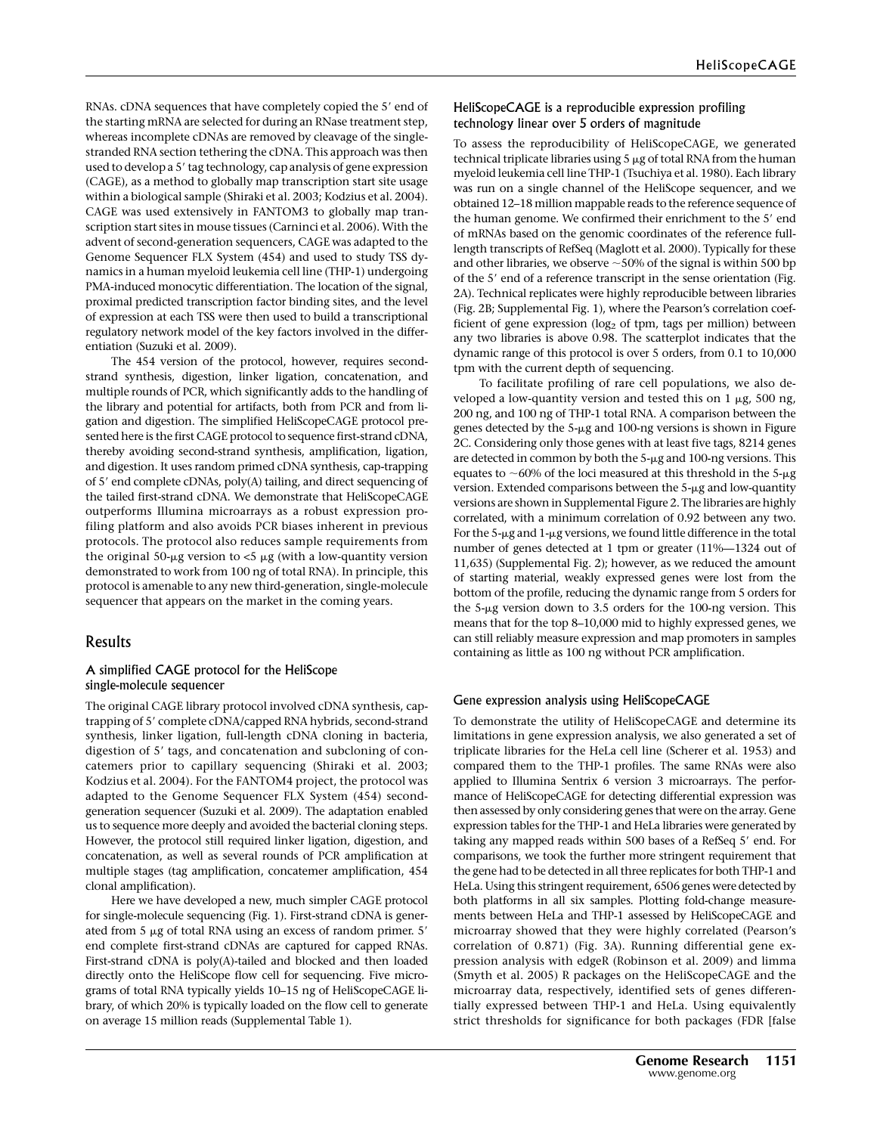RNAs. cDNA sequences that have completely copied the 5' end of the starting mRNA are selected for during an RNase treatment step, whereas incomplete cDNAs are removed by cleavage of the singlestranded RNA section tethering the cDNA. This approach was then used to develop a 5' tag technology, cap analysis of gene expression (CAGE), as a method to globally map transcription start site usage within a biological sample (Shiraki et al. 2003; Kodzius et al. 2004). CAGE was used extensively in FANTOM3 to globally map transcription start sites in mouse tissues (Carninci et al. 2006). With the advent of second-generation sequencers, CAGE was adapted to the Genome Sequencer FLX System (454) and used to study TSS dynamics in a human myeloid leukemia cell line (THP-1) undergoing PMA-induced monocytic differentiation. The location of the signal, proximal predicted transcription factor binding sites, and the level of expression at each TSS were then used to build a transcriptional regulatory network model of the key factors involved in the differentiation (Suzuki et al. 2009).

The 454 version of the protocol, however, requires secondstrand synthesis, digestion, linker ligation, concatenation, and multiple rounds of PCR, which significantly adds to the handling of the library and potential for artifacts, both from PCR and from ligation and digestion. The simplified HeliScopeCAGE protocol presented here is the first CAGE protocol to sequence first-strand cDNA, thereby avoiding second-strand synthesis, amplification, ligation, and digestion. It uses random primed cDNA synthesis, cap-trapping of 5' end complete cDNAs, poly(A) tailing, and direct sequencing of the tailed first-strand cDNA. We demonstrate that HeliScopeCAGE outperforms Illumina microarrays as a robust expression profiling platform and also avoids PCR biases inherent in previous protocols. The protocol also reduces sample requirements from the original 50-µg version to <5 µg (with a low-quantity version demonstrated to work from 100 ng of total RNA). In principle, this protocol is amenable to any new third-generation, single-molecule sequencer that appears on the market in the coming years.

# Results

# A simplified CAGE protocol for the HeliScope single-molecule sequencer

The original CAGE library protocol involved cDNA synthesis, captrapping of 5' complete cDNA/capped RNA hybrids, second-strand synthesis, linker ligation, full-length cDNA cloning in bacteria, digestion of 5' tags, and concatenation and subcloning of concatemers prior to capillary sequencing (Shiraki et al. 2003; Kodzius et al. 2004). For the FANTOM4 project, the protocol was adapted to the Genome Sequencer FLX System (454) secondgeneration sequencer (Suzuki et al. 2009). The adaptation enabled us to sequence more deeply and avoided the bacterial cloning steps. However, the protocol still required linker ligation, digestion, and concatenation, as well as several rounds of PCR amplification at multiple stages (tag amplification, concatemer amplification, 454 clonal amplification).

Here we have developed a new, much simpler CAGE protocol for single-molecule sequencing (Fig. 1). First-strand cDNA is generated from 5  $\mu$ g of total RNA using an excess of random primer. 5' end complete first-strand cDNAs are captured for capped RNAs. First-strand cDNA is poly(A)-tailed and blocked and then loaded directly onto the HeliScope flow cell for sequencing. Five micrograms of total RNA typically yields 10–15 ng of HeliScopeCAGE library, of which 20% is typically loaded on the flow cell to generate on average 15 million reads (Supplemental Table 1).

# HeliScopeCAGE is a reproducible expression profiling technology linear over 5 orders of magnitude

To assess the reproducibility of HeliScopeCAGE, we generated technical triplicate libraries using  $5 \mu$ g of total RNA from the human myeloid leukemia cell line THP-1 (Tsuchiya et al. 1980). Each library was run on a single channel of the HeliScope sequencer, and we obtained 12–18 million mappable reads to the reference sequence of the human genome. We confirmed their enrichment to the 5' end of mRNAs based on the genomic coordinates of the reference fulllength transcripts of RefSeq (Maglott et al. 2000). Typically for these and other libraries, we observe  $\sim$  50% of the signal is within 500 bp of the 5' end of a reference transcript in the sense orientation (Fig. 2A). Technical replicates were highly reproducible between libraries (Fig. 2B; Supplemental Fig. 1), where the Pearson's correlation coefficient of gene expression  $(log_2$  of tpm, tags per million) between any two libraries is above 0.98. The scatterplot indicates that the dynamic range of this protocol is over 5 orders, from 0.1 to 10,000 tpm with the current depth of sequencing.

To facilitate profiling of rare cell populations, we also developed a low-quantity version and tested this on 1  $\mu$ g, 500 ng, 200 ng, and 100 ng of THP-1 total RNA. A comparison between the genes detected by the  $5$ -µg and 100-ng versions is shown in Figure 2C. Considering only those genes with at least five tags, 8214 genes are detected in common by both the  $5-\mu$ g and 100-ng versions. This equates to  $\sim$  60% of the loci measured at this threshold in the 5- $\mu$ g version. Extended comparisons between the 5-µg and low-quantity versions are shown in Supplemental Figure 2. The libraries are highly correlated, with a minimum correlation of 0.92 between any two. For the 5- $\mu$ g and 1- $\mu$ g versions, we found little difference in the total number of genes detected at 1 tpm or greater (11%—1324 out of 11,635) (Supplemental Fig. 2); however, as we reduced the amount of starting material, weakly expressed genes were lost from the bottom of the profile, reducing the dynamic range from 5 orders for the 5-µg version down to 3.5 orders for the 100-ng version. This means that for the top 8–10,000 mid to highly expressed genes, we can still reliably measure expression and map promoters in samples containing as little as 100 ng without PCR amplification.

# Gene expression analysis using HeliScopeCAGE

To demonstrate the utility of HeliScopeCAGE and determine its limitations in gene expression analysis, we also generated a set of triplicate libraries for the HeLa cell line (Scherer et al. 1953) and compared them to the THP-1 profiles. The same RNAs were also applied to Illumina Sentrix 6 version 3 microarrays. The performance of HeliScopeCAGE for detecting differential expression was then assessed by only considering genes that were on the array. Gene expression tables for the THP-1 and HeLa libraries were generated by taking any mapped reads within 500 bases of a RefSeq 5' end. For comparisons, we took the further more stringent requirement that the gene had to be detected in all three replicates for both THP-1 and HeLa. Using this stringent requirement, 6506 genes were detected by both platforms in all six samples. Plotting fold-change measurements between HeLa and THP-1 assessed by HeliScopeCAGE and microarray showed that they were highly correlated (Pearson's correlation of 0.871) (Fig. 3A). Running differential gene expression analysis with edgeR (Robinson et al. 2009) and limma (Smyth et al. 2005) R packages on the HeliScopeCAGE and the microarray data, respectively, identified sets of genes differentially expressed between THP-1 and HeLa. Using equivalently strict thresholds for significance for both packages (FDR [false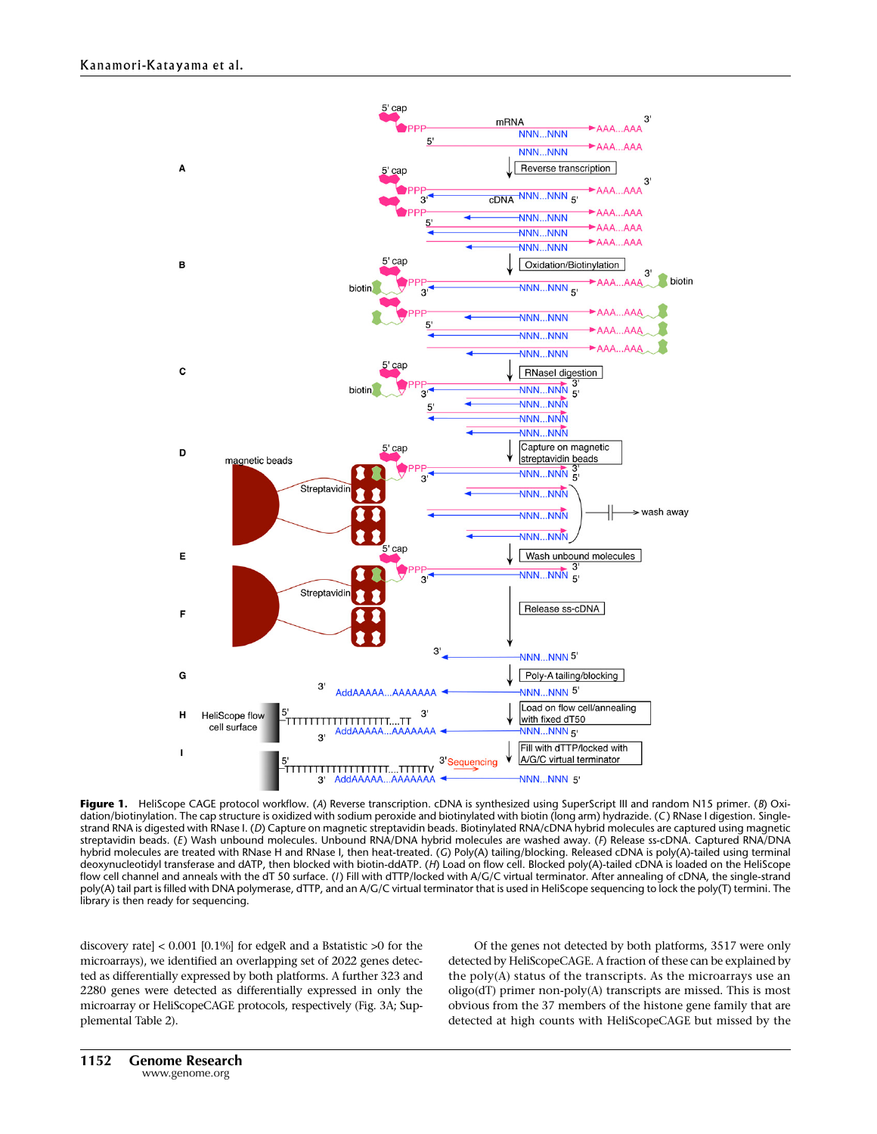

Figure 1. HeliScope CAGE protocol workflow. (A) Reverse transcription. cDNA is synthesized using SuperScript III and random N15 primer. (B) Oxidation/biotinylation. The cap structure is oxidized with sodium peroxide and biotinylated with biotin (long arm) hydrazide. (C ) RNase I digestion. Singlestrand RNA is digested with RNase I. (D) Capture on magnetic streptavidin beads. Biotinylated RNA/cDNA hybrid molecules are captured using magnetic streptavidin beads. (E ) Wash unbound molecules. Unbound RNA/DNA hybrid molecules are washed away. (F) Release ss-cDNA. Captured RNA/DNA hybrid molecules are treated with RNase H and RNase I, then heat-treated. (G) Poly(A) tailing/blocking. Released cDNA is poly(A)-tailed using terminal deoxynucleotidyl transferase and dATP, then blocked with biotin-ddATP. (H) Load on flow cell. Blocked poly(A)-tailed cDNA is loaded on the HeliScope flow cell channel and anneals with the dT 50 surface. (1) Fill with dTTP/locked with A/G/C virtual terminator. After annealing of cDNA, the single-strand poly(A) tail part is filled with DNA polymerase, dTTP, and an A/G/C virtual terminator that is used in HeliScope sequencing to lock the poly(T) termini. The library is then ready for sequencing.

discovery rate] < 0.001 [0.1%] for edgeR and a Bstatistic >0 for the microarrays), we identified an overlapping set of 2022 genes detected as differentially expressed by both platforms. A further 323 and 2280 genes were detected as differentially expressed in only the microarray or HeliScopeCAGE protocols, respectively (Fig. 3A; Supplemental Table 2).

Of the genes not detected by both platforms, 3517 were only detected by HeliScopeCAGE. A fraction of these can be explained by the poly(A) status of the transcripts. As the microarrays use an oligo(dT) primer non-poly(A) transcripts are missed. This is most obvious from the 37 members of the histone gene family that are detected at high counts with HeliScopeCAGE but missed by the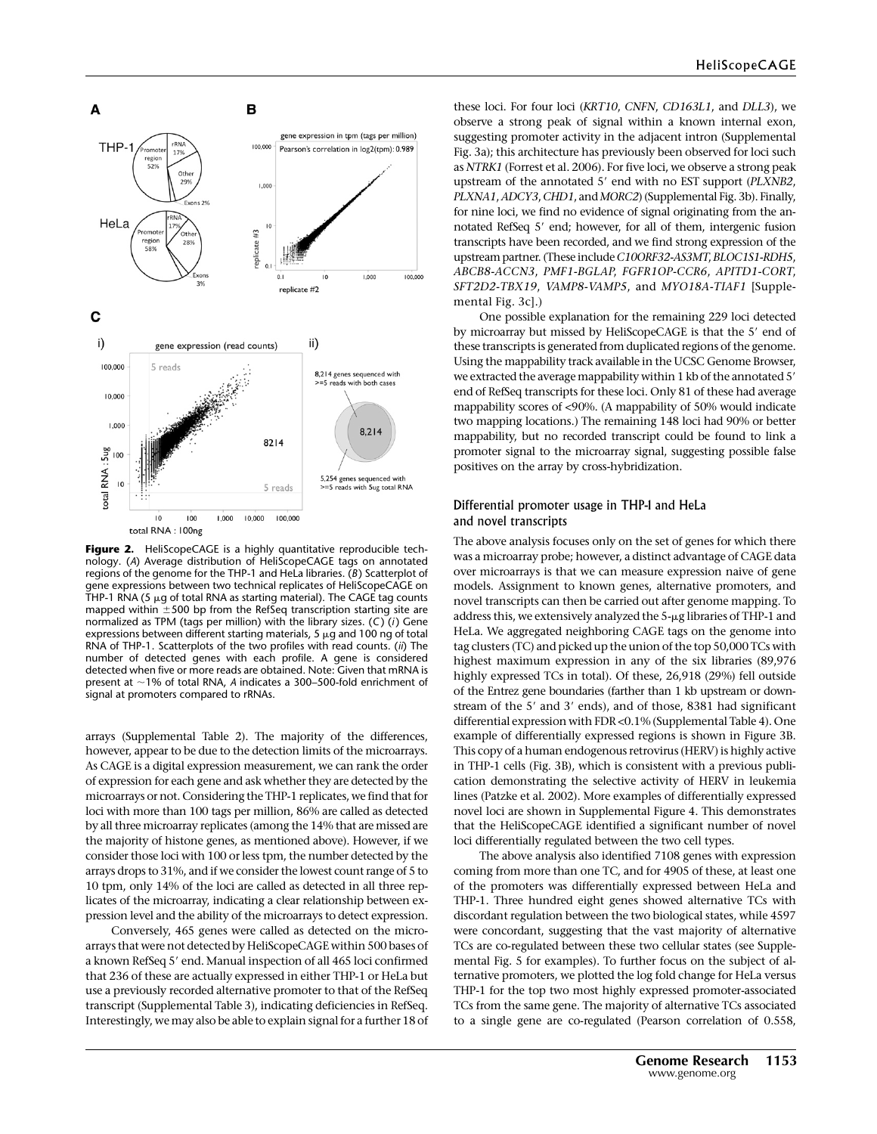

Figure 2. HeliScopeCAGE is a highly quantitative reproducible technology. (A) Average distribution of HeliScopeCAGE tags on annotated regions of the genome for the THP-1 and HeLa libraries.  $(B)$  Scatterplot of gene expressions between two technical replicates of HeliScopeCAGE on THP-1 RNA (5  $\mu$ g of total RNA as starting material). The CAGE tag counts mapped within  $\pm 500$  bp from the RefSeq transcription starting site are normalized as TPM (tags per million) with the library sizes. (C) (i) Gene expressions between different starting materials, 5  $\mu$ g and 100 ng of total RNA of THP-1. Scatterplots of the two profiles with read counts. (ii) The number of detected genes with each profile. A gene is considered detected when five or more reads are obtained. Note: Given that mRNA is present at  $\sim$ 1% of total RNA, A indicates a 300–500-fold enrichment of signal at promoters compared to rRNAs.

arrays (Supplemental Table 2). The majority of the differences, however, appear to be due to the detection limits of the microarrays. As CAGE is a digital expression measurement, we can rank the order of expression for each gene and ask whether they are detected by the microarrays or not. Considering the THP-1 replicates, we find that for loci with more than 100 tags per million, 86% are called as detected by all three microarray replicates (among the 14% that are missed are the majority of histone genes, as mentioned above). However, if we consider those loci with 100 or less tpm, the number detected by the arrays drops to 31%, and if we consider the lowest count range of 5 to 10 tpm, only 14% of the loci are called as detected in all three replicates of the microarray, indicating a clear relationship between expression level and the ability of the microarrays to detect expression.

Conversely, 465 genes were called as detected on the microarrays that were not detected by HeliScopeCAGE within 500 bases of a known RefSeq 5' end. Manual inspection of all 465 loci confirmed that 236 of these are actually expressed in either THP-1 or HeLa but use a previously recorded alternative promoter to that of the RefSeq transcript (Supplemental Table 3), indicating deficiencies in RefSeq. Interestingly, we may also be able to explain signal for a further 18 of these loci. For four loci (KRT10, CNFN, CD163L1, and DLL3), we observe a strong peak of signal within a known internal exon, suggesting promoter activity in the adjacent intron (Supplemental Fig. 3a); this architecture has previously been observed for loci such as NTRK1 (Forrest et al. 2006). For five loci, we observe a strong peak upstream of the annotated 5' end with no EST support (PLXNB2, PLXNA1, ADCY3, CHD1, and MORC2) (Supplemental Fig. 3b). Finally, for nine loci, we find no evidence of signal originating from the annotated RefSeq 5' end; however, for all of them, intergenic fusion transcripts have been recorded, and we find strong expression of the upstream partner. (These include C10ORF32-AS3MT, BLOC1S1-RDH5, ABCB8-ACCN3, PMF1-BGLAP, FGFR1OP-CCR6, APITD1-CORT, SFT2D2-TBX19, VAMP8-VAMP5, and MYO18A-TIAF1 [Supplemental Fig. 3c].)

One possible explanation for the remaining 229 loci detected by microarray but missed by HeliScopeCAGE is that the 5' end of these transcripts is generated from duplicated regions of the genome. Using the mappability track available in the UCSC Genome Browser, we extracted the average mappability within 1 kb of the annotated 5' end of RefSeq transcripts for these loci. Only 81 of these had average mappability scores of <90%. (A mappability of 50% would indicate two mapping locations.) The remaining 148 loci had 90% or better mappability, but no recorded transcript could be found to link a promoter signal to the microarray signal, suggesting possible false positives on the array by cross-hybridization.

#### Differential promoter usage in THP-1 and HeLa and novel transcripts

The above analysis focuses only on the set of genes for which there was a microarray probe; however, a distinct advantage of CAGE data over microarrays is that we can measure expression naive of gene models. Assignment to known genes, alternative promoters, and novel transcripts can then be carried out after genome mapping. To address this, we extensively analyzed the  $5$ - $\mu$ g libraries of THP-1 and HeLa. We aggregated neighboring CAGE tags on the genome into tag clusters (TC) and picked up the union of the top 50,000 TCs with highest maximum expression in any of the six libraries (89,976 highly expressed TCs in total). Of these, 26,918 (29%) fell outside of the Entrez gene boundaries (farther than 1 kb upstream or downstream of the 5' and 3' ends), and of those, 8381 had significant differential expression with FDR <0.1% (Supplemental Table 4). One example of differentially expressed regions is shown in Figure 3B. This copy of a human endogenous retrovirus (HERV) is highly active in THP-1 cells (Fig. 3B), which is consistent with a previous publication demonstrating the selective activity of HERV in leukemia lines (Patzke et al. 2002). More examples of differentially expressed novel loci are shown in Supplemental Figure 4. This demonstrates that the HeliScopeCAGE identified a significant number of novel loci differentially regulated between the two cell types.

The above analysis also identified 7108 genes with expression coming from more than one TC, and for 4905 of these, at least one of the promoters was differentially expressed between HeLa and THP-1. Three hundred eight genes showed alternative TCs with discordant regulation between the two biological states, while 4597 were concordant, suggesting that the vast majority of alternative TCs are co-regulated between these two cellular states (see Supplemental Fig. 5 for examples). To further focus on the subject of alternative promoters, we plotted the log fold change for HeLa versus THP-1 for the top two most highly expressed promoter-associated TCs from the same gene. The majority of alternative TCs associated to a single gene are co-regulated (Pearson correlation of 0.558,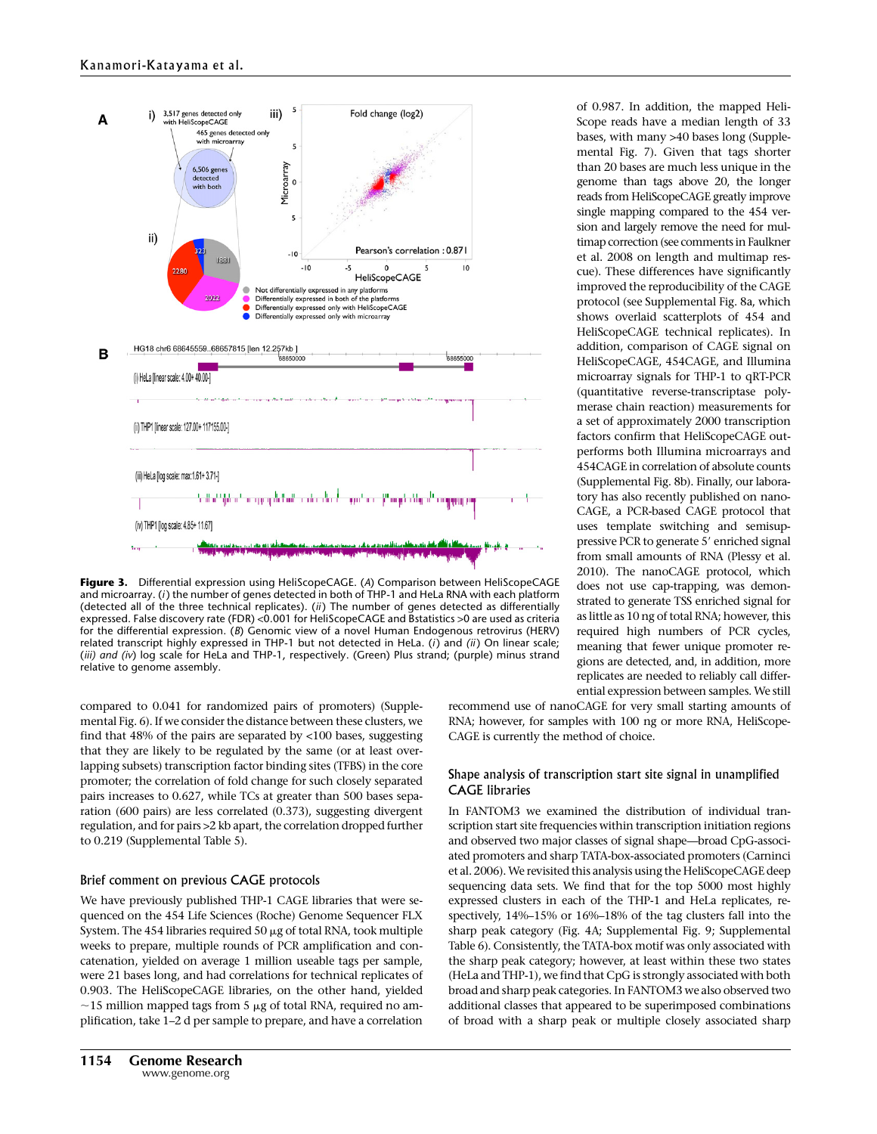

Figure 3. Differential expression using HeliScopeCAGE. (A) Comparison between HeliScopeCAGE and microarray. (i) the number of genes detected in both of THP-1 and HeLa RNA with each platform (detected all of the three technical replicates). (ii) The number of genes detected as differentially expressed. False discovery rate (FDR) <0.001 for HeliScopeCAGE and Bstatistics >0 are used as criteria for the differential expression. (B) Genomic view of a novel Human Endogenous retrovirus (HERV) related transcript highly expressed in THP-1 but not detected in HeLa. (i) and (ii) On linear scale; (iii) and (iv) log scale for HeLa and THP-1, respectively. (Green) Plus strand; (purple) minus strand relative to genome assembly.

compared to 0.041 for randomized pairs of promoters) (Supplemental Fig. 6). If we consider the distance between these clusters, we find that 48% of the pairs are separated by <100 bases, suggesting that they are likely to be regulated by the same (or at least overlapping subsets) transcription factor binding sites (TFBS) in the core promoter; the correlation of fold change for such closely separated pairs increases to 0.627, while TCs at greater than 500 bases separation (600 pairs) are less correlated (0.373), suggesting divergent regulation, and for pairs >2 kb apart, the correlation dropped further to 0.219 (Supplemental Table 5).

## Brief comment on previous CAGE protocols

We have previously published THP-1 CAGE libraries that were sequenced on the 454 Life Sciences (Roche) Genome Sequencer FLX System. The 454 libraries required 50  $\mu$ g of total RNA, took multiple weeks to prepare, multiple rounds of PCR amplification and concatenation, yielded on average 1 million useable tags per sample, were 21 bases long, and had correlations for technical replicates of 0.903. The HeliScopeCAGE libraries, on the other hand, yielded  $\sim$ 15 million mapped tags from 5  $\mu$ g of total RNA, required no amplification, take 1–2 d per sample to prepare, and have a correlation

of 0.987. In addition, the mapped Heli-Scope reads have a median length of 33 bases, with many >40 bases long (Supplemental Fig. 7). Given that tags shorter than 20 bases are much less unique in the genome than tags above 20, the longer reads from HeliScopeCAGE greatly improve single mapping compared to the 454 version and largely remove the need for multimap correction (see comments in Faulkner et al. 2008 on length and multimap rescue). These differences have significantly improved the reproducibility of the CAGE protocol (see Supplemental Fig. 8a, which shows overlaid scatterplots of 454 and HeliScopeCAGE technical replicates). In addition, comparison of CAGE signal on HeliScopeCAGE, 454CAGE, and Illumina microarray signals for THP-1 to qRT-PCR (quantitative reverse-transcriptase polymerase chain reaction) measurements for a set of approximately 2000 transcription factors confirm that HeliScopeCAGE outperforms both Illumina microarrays and 454CAGE in correlation of absolute counts (Supplemental Fig. 8b). Finally, our laboratory has also recently published on nano-CAGE, a PCR-based CAGE protocol that uses template switching and semisuppressive PCR to generate 5' enriched signal from small amounts of RNA (Plessy et al. 2010). The nanoCAGE protocol, which does not use cap-trapping, was demonstrated to generate TSS enriched signal for as little as 10 ng of total RNA; however, this required high numbers of PCR cycles, meaning that fewer unique promoter regions are detected, and, in addition, more replicates are needed to reliably call differential expression between samples.We still

recommend use of nanoCAGE for very small starting amounts of RNA; however, for samples with 100 ng or more RNA, HeliScope-CAGE is currently the method of choice.

### Shape analysis of transcription start site signal in unamplified CAGE libraries

In FANTOM3 we examined the distribution of individual transcription start site frequencies within transcription initiation regions and observed two major classes of signal shape—broad CpG-associated promoters and sharp TATA-box-associated promoters (Carninci et al. 2006).We revisited this analysis using the HeliScopeCAGE deep sequencing data sets. We find that for the top 5000 most highly expressed clusters in each of the THP-1 and HeLa replicates, respectively, 14%–15% or 16%–18% of the tag clusters fall into the sharp peak category (Fig. 4A; Supplemental Fig. 9; Supplemental Table 6). Consistently, the TATA-box motif was only associated with the sharp peak category; however, at least within these two states (HeLa and THP-1), we find that CpG is strongly associated with both broad and sharp peak categories. In FANTOM3 we also observed two additional classes that appeared to be superimposed combinations of broad with a sharp peak or multiple closely associated sharp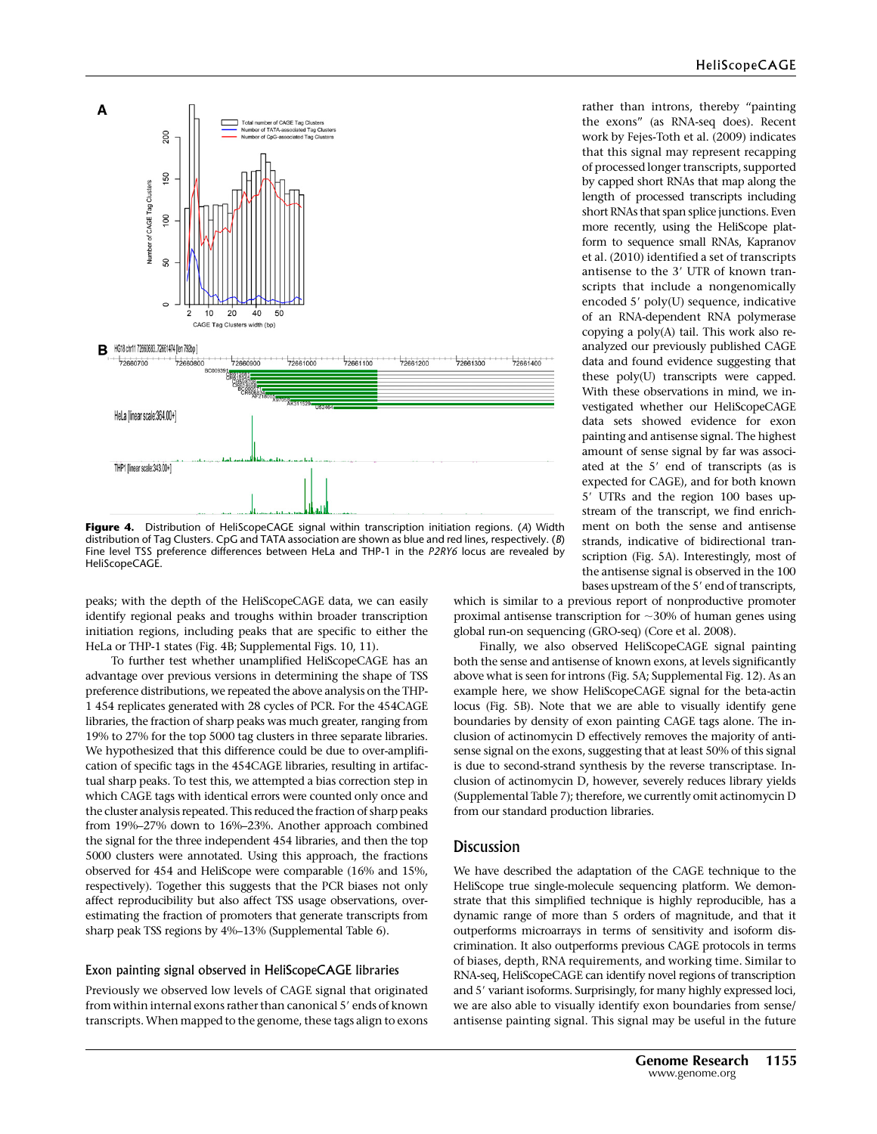

Figure 4. Distribution of HeliScopeCAGE signal within transcription initiation regions. (A) Width distribution of Tag Clusters. CpG and TATA association are shown as blue and red lines, respectively. (B) Fine level TSS preference differences between HeLa and THP-1 in the P2RY6 locus are revealed by HeliScopeCAGE.

peaks; with the depth of the HeliScopeCAGE data, we can easily identify regional peaks and troughs within broader transcription initiation regions, including peaks that are specific to either the HeLa or THP-1 states (Fig. 4B; Supplemental Figs. 10, 11).

To further test whether unamplified HeliScopeCAGE has an advantage over previous versions in determining the shape of TSS preference distributions, we repeated the above analysis on the THP-1 454 replicates generated with 28 cycles of PCR. For the 454CAGE libraries, the fraction of sharp peaks was much greater, ranging from 19% to 27% for the top 5000 tag clusters in three separate libraries. We hypothesized that this difference could be due to over-amplification of specific tags in the 454CAGE libraries, resulting in artifactual sharp peaks. To test this, we attempted a bias correction step in which CAGE tags with identical errors were counted only once and the cluster analysis repeated. This reduced the fraction of sharp peaks from 19%–27% down to 16%–23%. Another approach combined the signal for the three independent 454 libraries, and then the top 5000 clusters were annotated. Using this approach, the fractions observed for 454 and HeliScope were comparable (16% and 15%, respectively). Together this suggests that the PCR biases not only affect reproducibility but also affect TSS usage observations, overestimating the fraction of promoters that generate transcripts from sharp peak TSS regions by 4%–13% (Supplemental Table 6).

#### Exon painting signal observed in HeliScopeCAGE libraries

Previously we observed low levels of CAGE signal that originated from within internal exons rather than canonical 5' ends of known transcripts.When mapped to the genome, these tags align to exons

rather than introns, thereby ''painting the exons'' (as RNA-seq does). Recent work by Fejes-Toth et al. (2009) indicates that this signal may represent recapping of processed longer transcripts, supported by capped short RNAs that map along the length of processed transcripts including short RNAs that span splice junctions. Even more recently, using the HeliScope platform to sequence small RNAs, Kapranov et al. (2010) identified a set of transcripts antisense to the 3' UTR of known transcripts that include a nongenomically encoded  $5'$  poly(U) sequence, indicative of an RNA-dependent RNA polymerase copying a poly(A) tail. This work also reanalyzed our previously published CAGE data and found evidence suggesting that these poly(U) transcripts were capped. With these observations in mind, we investigated whether our HeliScopeCAGE data sets showed evidence for exon painting and antisense signal. The highest amount of sense signal by far was associated at the 5' end of transcripts (as is expected for CAGE), and for both known 5' UTRs and the region 100 bases upstream of the transcript, we find enrichment on both the sense and antisense strands, indicative of bidirectional transcription (Fig. 5A). Interestingly, most of the antisense signal is observed in the 100 bases upstream of the 5' end of transcripts.

which is similar to a previous report of nonproductive promoter proximal antisense transcription for  $\sim$ 30% of human genes using global run-on sequencing (GRO-seq) (Core et al. 2008).

Finally, we also observed HeliScopeCAGE signal painting both the sense and antisense of known exons, at levels significantly above what is seen for introns (Fig. 5A; Supplemental Fig. 12). As an example here, we show HeliScopeCAGE signal for the beta-actin locus (Fig. 5B). Note that we are able to visually identify gene boundaries by density of exon painting CAGE tags alone. The inclusion of actinomycin D effectively removes the majority of antisense signal on the exons, suggesting that at least 50% of this signal is due to second-strand synthesis by the reverse transcriptase. Inclusion of actinomycin D, however, severely reduces library yields (Supplemental Table 7); therefore, we currently omit actinomycin D from our standard production libraries.

# **Discussion**

We have described the adaptation of the CAGE technique to the HeliScope true single-molecule sequencing platform. We demonstrate that this simplified technique is highly reproducible, has a dynamic range of more than 5 orders of magnitude, and that it outperforms microarrays in terms of sensitivity and isoform discrimination. It also outperforms previous CAGE protocols in terms of biases, depth, RNA requirements, and working time. Similar to RNA-seq, HeliScopeCAGE can identify novel regions of transcription and 5' variant isoforms. Surprisingly, for many highly expressed loci, we are also able to visually identify exon boundaries from sense/ antisense painting signal. This signal may be useful in the future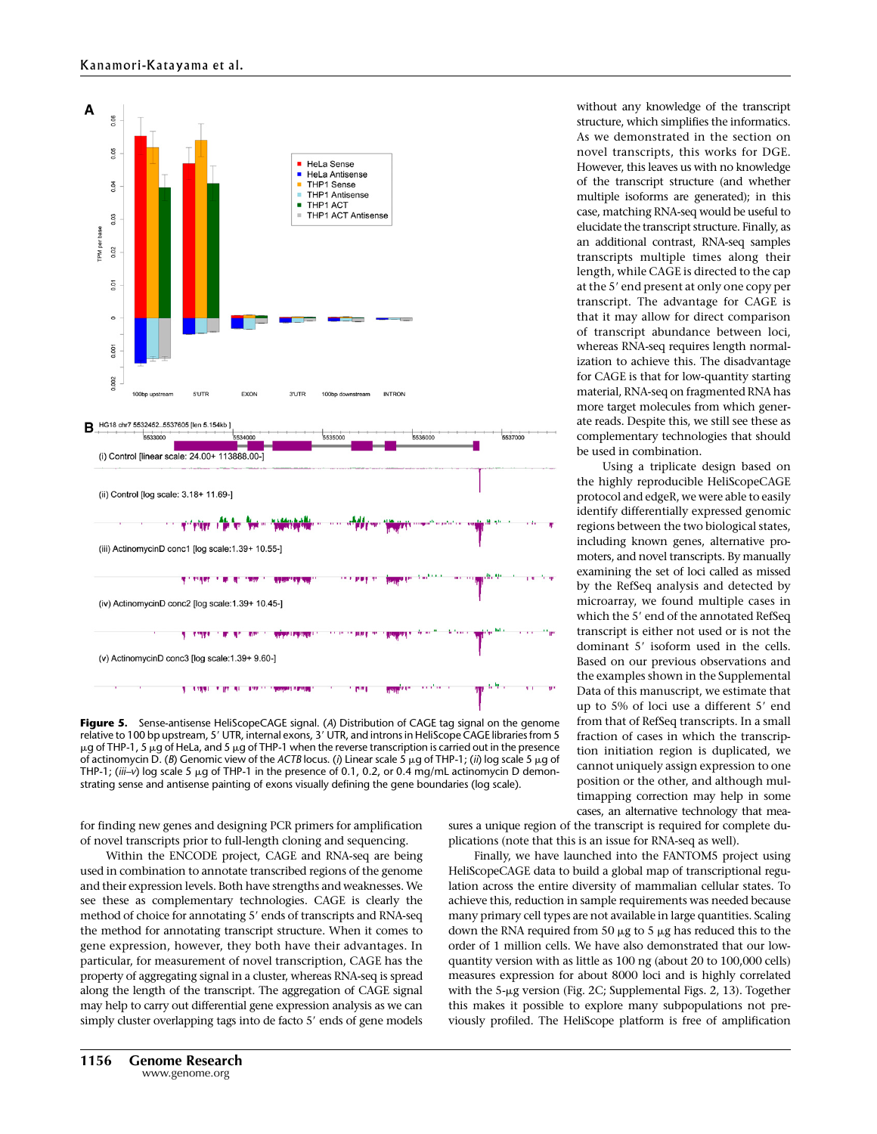

Figure 5. Sense-antisense HeliScopeCAGE signal. (A) Distribution of CAGE tag signal on the genome relative to 100 bp upstream, 5' UTR, internal exons, 3' UTR, and introns in HeliScope CAGE libraries from 5  $\mu$ g of THP-1, 5  $\mu$ g of HeLa, and 5  $\mu$ g of THP-1 when the reverse transcription is carried out in the presence of actinomycin D. (B) Genomic view of the ACTB locus. (i) Linear scale 5  $\mu$ g of THP-1; (ii) log scale 5  $\mu$ g of THP-1;  $(iii-v)$  log scale 5  $\mu$ g of THP-1 in the presence of 0.1, 0.2, or 0.4 mg/mL actinomycin D demonstrating sense and antisense painting of exons visually defining the gene boundaries (log scale).

for finding new genes and designing PCR primers for amplification of novel transcripts prior to full-length cloning and sequencing.

Within the ENCODE project, CAGE and RNA-seq are being used in combination to annotate transcribed regions of the genome and their expression levels. Both have strengths and weaknesses. We see these as complementary technologies. CAGE is clearly the method of choice for annotating 5' ends of transcripts and RNA-seq the method for annotating transcript structure. When it comes to gene expression, however, they both have their advantages. In particular, for measurement of novel transcription, CAGE has the property of aggregating signal in a cluster, whereas RNA-seq is spread along the length of the transcript. The aggregation of CAGE signal may help to carry out differential gene expression analysis as we can simply cluster overlapping tags into de facto 5' ends of gene models

without any knowledge of the transcript structure, which simplifies the informatics. As we demonstrated in the section on novel transcripts, this works for DGE. However, this leaves us with no knowledge of the transcript structure (and whether multiple isoforms are generated); in this case, matching RNA-seq would be useful to elucidate the transcript structure. Finally, as an additional contrast, RNA-seq samples transcripts multiple times along their length, while CAGE is directed to the cap at the 5' end present at only one copy per transcript. The advantage for CAGE is that it may allow for direct comparison of transcript abundance between loci, whereas RNA-seq requires length normalization to achieve this. The disadvantage for CAGE is that for low-quantity starting material, RNA-seq on fragmented RNA has more target molecules from which generate reads. Despite this, we still see these as complementary technologies that should be used in combination.

Using a triplicate design based on the highly reproducible HeliScopeCAGE protocol and edgeR, we were able to easily identify differentially expressed genomic regions between the two biological states, including known genes, alternative promoters, and novel transcripts. By manually examining the set of loci called as missed by the RefSeq analysis and detected by microarray, we found multiple cases in which the 5' end of the annotated RefSeq transcript is either not used or is not the dominant 5' isoform used in the cells. Based on our previous observations and the examples shown in the Supplemental Data of this manuscript, we estimate that up to 5% of loci use a different 5' end from that of RefSeq transcripts. In a small fraction of cases in which the transcription initiation region is duplicated, we cannot uniquely assign expression to one position or the other, and although multimapping correction may help in some cases, an alternative technology that mea-

sures a unique region of the transcript is required for complete duplications (note that this is an issue for RNA-seq as well).

Finally, we have launched into the FANTOM5 project using HeliScopeCAGE data to build a global map of transcriptional regulation across the entire diversity of mammalian cellular states. To achieve this, reduction in sample requirements was needed because many primary cell types are not available in large quantities. Scaling down the RNA required from 50  $\mu$ g to 5  $\mu$ g has reduced this to the order of 1 million cells. We have also demonstrated that our lowquantity version with as little as 100 ng (about 20 to 100,000 cells) measures expression for about 8000 loci and is highly correlated with the 5-µg version (Fig. 2C; Supplemental Figs. 2, 13). Together this makes it possible to explore many subpopulations not previously profiled. The HeliScope platform is free of amplification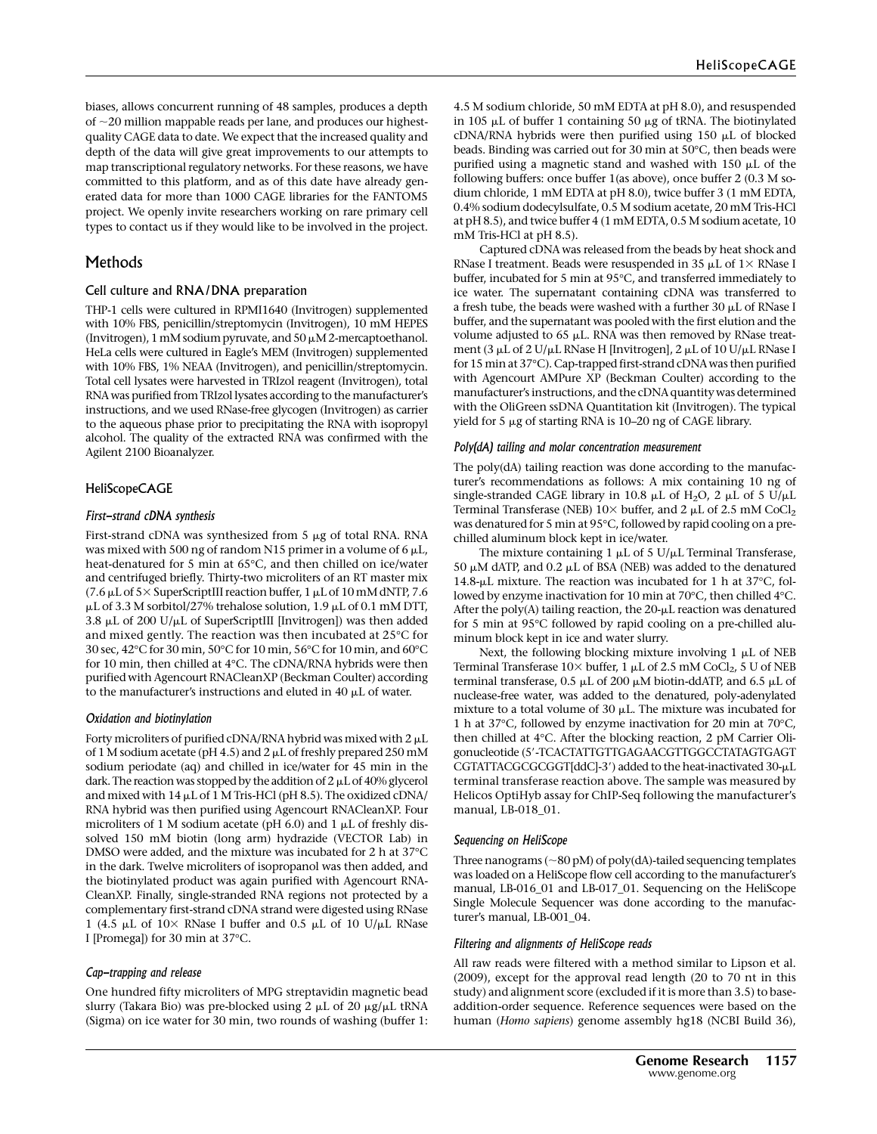biases, allows concurrent running of 48 samples, produces a depth of  $\sim$  20 million mappable reads per lane, and produces our highestquality CAGE data to date. We expect that the increased quality and depth of the data will give great improvements to our attempts to map transcriptional regulatory networks. For these reasons, we have committed to this platform, and as of this date have already generated data for more than 1000 CAGE libraries for the FANTOM5 project. We openly invite researchers working on rare primary cell types to contact us if they would like to be involved in the project.

# **Methods**

# Cell culture and RNA/DNA preparation

THP-1 cells were cultured in RPMI1640 (Invitrogen) supplemented with 10% FBS, penicillin/streptomycin (Invitrogen), 10 mM HEPES (Invitrogen), 1 mM sodium pyruvate, and 50  $\mu$ M 2-mercaptoethanol. HeLa cells were cultured in Eagle's MEM (Invitrogen) supplemented with 10% FBS, 1% NEAA (Invitrogen), and penicillin/streptomycin. Total cell lysates were harvested in TRIzol reagent (Invitrogen), total RNA was purified from TRIzol lysates according to the manufacturer's instructions, and we used RNase-free glycogen (Invitrogen) as carrier to the aqueous phase prior to precipitating the RNA with isopropyl alcohol. The quality of the extracted RNA was confirmed with the Agilent 2100 Bioanalyzer.

# HeliScopeCAGE

# First-strand cDNA synthesis

First-strand cDNA was synthesized from 5  $\mu$ g of total RNA. RNA was mixed with 500 ng of random N15 primer in a volume of 6  $\mu$ L, heat-denatured for 5 min at 65°C, and then chilled on ice/water and centrifuged briefly. Thirty-two microliters of an RT master mix (7.6  $\mu$ L of 5 $\times$  SuperScriptIII reaction buffer, 1  $\mu$ L of 10 mM dNTP, 7.6  $\mu$ L of 3.3 M sorbitol/27% trehalose solution, 1.9  $\mu$ L of 0.1 mM DTT, 3.8  $\mu$ L of 200 U/ $\mu$ L of SuperScriptIII [Invitrogen]) was then added and mixed gently. The reaction was then incubated at 25°C for 30 sec, 42°C for 30 min, 50°C for 10 min, 56°C for 10 min, and 60°C for 10 min, then chilled at 4°C. The cDNA/RNA hybrids were then purified with Agencourt RNACleanXP (Beckman Coulter) according to the manufacturer's instructions and eluted in 40  $\mu$ L of water.

# Oxidation and biotinylation

Forty microliters of purified cDNA/RNA hybrid was mixed with  $2 \mu L$ of 1 M sodium acetate (pH 4.5) and 2  $\mu$ L of freshly prepared 250 mM sodium periodate (aq) and chilled in ice/water for 45 min in the dark. The reaction was stopped by the addition of  $2 \mu$ L of 40% glycerol and mixed with  $14 \mu L$  of 1 M Tris-HCl (pH 8.5). The oxidized cDNA/ RNA hybrid was then purified using Agencourt RNACleanXP. Four microliters of 1 M sodium acetate (pH 6.0) and 1  $\mu$ L of freshly dissolved 150 mM biotin (long arm) hydrazide (VECTOR Lab) in DMSO were added, and the mixture was incubated for 2 h at 37°C in the dark. Twelve microliters of isopropanol was then added, and the biotinylated product was again purified with Agencourt RNA-CleanXP. Finally, single-stranded RNA regions not protected by a complementary first-strand cDNA strand were digested using RNase 1 (4.5  $\mu$ L of 10× RNase I buffer and 0.5  $\mu$ L of 10 U/ $\mu$ L RNase I [Promega]) for 30 min at 37°C.

# Cap-trapping and release

One hundred fifty microliters of MPG streptavidin magnetic bead slurry (Takara Bio) was pre-blocked using 2  $\mu$ L of 20  $\mu$ g/ $\mu$ L tRNA (Sigma) on ice water for 30 min, two rounds of washing (buffer 1: 4.5 M sodium chloride, 50 mM EDTA at pH 8.0), and resuspended in 105  $\mu$ L of buffer 1 containing 50  $\mu$ g of tRNA. The biotinylated cDNA/RNA hybrids were then purified using  $150 \mu L$  of blocked beads. Binding was carried out for 30 min at 50°C, then beads were purified using a magnetic stand and washed with 150  $\mu$ L of the following buffers: once buffer 1(as above), once buffer 2 (0.3 M sodium chloride, 1 mM EDTA at pH 8.0), twice buffer 3 (1 mM EDTA, 0.4% sodium dodecylsulfate, 0.5 M sodium acetate, 20 mM Tris-HCl at pH 8.5), and twice buffer 4 (1 mM EDTA, 0.5 M sodium acetate, 10 mM Tris-HCl at pH 8.5).

Captured cDNA was released from the beads by heat shock and RNase I treatment. Beads were resuspended in 35  $\mu$ L of 1 $\times$  RNase I buffer, incubated for 5 min at 95°C, and transferred immediately to ice water. The supernatant containing cDNA was transferred to a fresh tube, the beads were washed with a further 30  $\mu$ L of RNase I buffer, and the supernatant was pooled with the first elution and the volume adjusted to 65  $\mu$ L. RNA was then removed by RNase treatment (3  $\mu$ L of 2 U/ $\mu$ L RNase H [Invitrogen], 2  $\mu$ L of 10 U/ $\mu$ L RNase I for 15 min at 37°C). Cap-trapped first-strand cDNA was then purified with Agencourt AMPure XP (Beckman Coulter) according to the manufacturer's instructions, and the cDNA quantity was determined with the OliGreen ssDNA Quantitation kit (Invitrogen). The typical yield for 5  $\mu$ g of starting RNA is 10–20 ng of CAGE library.

# Poly(dA) tailing and molar concentration measurement

The poly(dA) tailing reaction was done according to the manufacturer's recommendations as follows: A mix containing 10 ng of single-stranded CAGE library in 10.8  $\mu$ L of H<sub>2</sub>O, 2  $\mu$ L of 5 U/ $\mu$ L Terminal Transferase (NEB)  $10\times$  buffer, and 2  $\mu$ L of 2.5 mM CoCl<sub>2</sub> was denatured for 5 min at 95°C, followed by rapid cooling on a prechilled aluminum block kept in ice/water.

The mixture containing 1  $\mu$ L of 5 U/ $\mu$ L Terminal Transferase, 50  $\mu$ M dATP, and 0.2  $\mu$ L of BSA (NEB) was added to the denatured 14.8-µL mixture. The reaction was incubated for 1 h at  $37^{\circ}$ C, followed by enzyme inactivation for 10 min at 70°C, then chilled 4°C. After the poly(A) tailing reaction, the  $20$ - $\mu$ L reaction was denatured for 5 min at 95°C followed by rapid cooling on a pre-chilled aluminum block kept in ice and water slurry.

Next, the following blocking mixture involving  $1 \mu L$  of NEB Terminal Transferase  $10\times$  buffer, 1 µL of 2.5 mM CoCl<sub>2</sub>, 5 U of NEB terminal transferase,  $0.5 \mu L$  of  $200 \mu M$  biotin-ddATP, and  $6.5 \mu L$  of nuclease-free water, was added to the denatured, poly-adenylated mixture to a total volume of 30  $\mu$ L. The mixture was incubated for 1 h at 37°C, followed by enzyme inactivation for 20 min at 70°C, then chilled at 4°C. After the blocking reaction, 2 pM Carrier Oligonucleotide (5'-TCACTATTGTTGAGAACGTTGGCCTATAGTGAGT CGTATTACGCGCGGT[ddC]-3') added to the heat-inactivated 30-µL terminal transferase reaction above. The sample was measured by Helicos OptiHyb assay for ChIP-Seq following the manufacturer's manual, LB-018\_01.

# Sequencing on HeliScope

Three nanograms ( $\sim$ 80 pM) of poly(dA)-tailed sequencing templates was loaded on a HeliScope flow cell according to the manufacturer's manual, LB-016\_01 and LB-017\_01. Sequencing on the HeliScope Single Molecule Sequencer was done according to the manufacturer's manual, LB-001\_04.

# Filtering and alignments of HeliScope reads

All raw reads were filtered with a method similar to Lipson et al. (2009), except for the approval read length (20 to 70 nt in this study) and alignment score (excluded if it is more than 3.5) to baseaddition-order sequence. Reference sequences were based on the human (Homo sapiens) genome assembly hg18 (NCBI Build 36),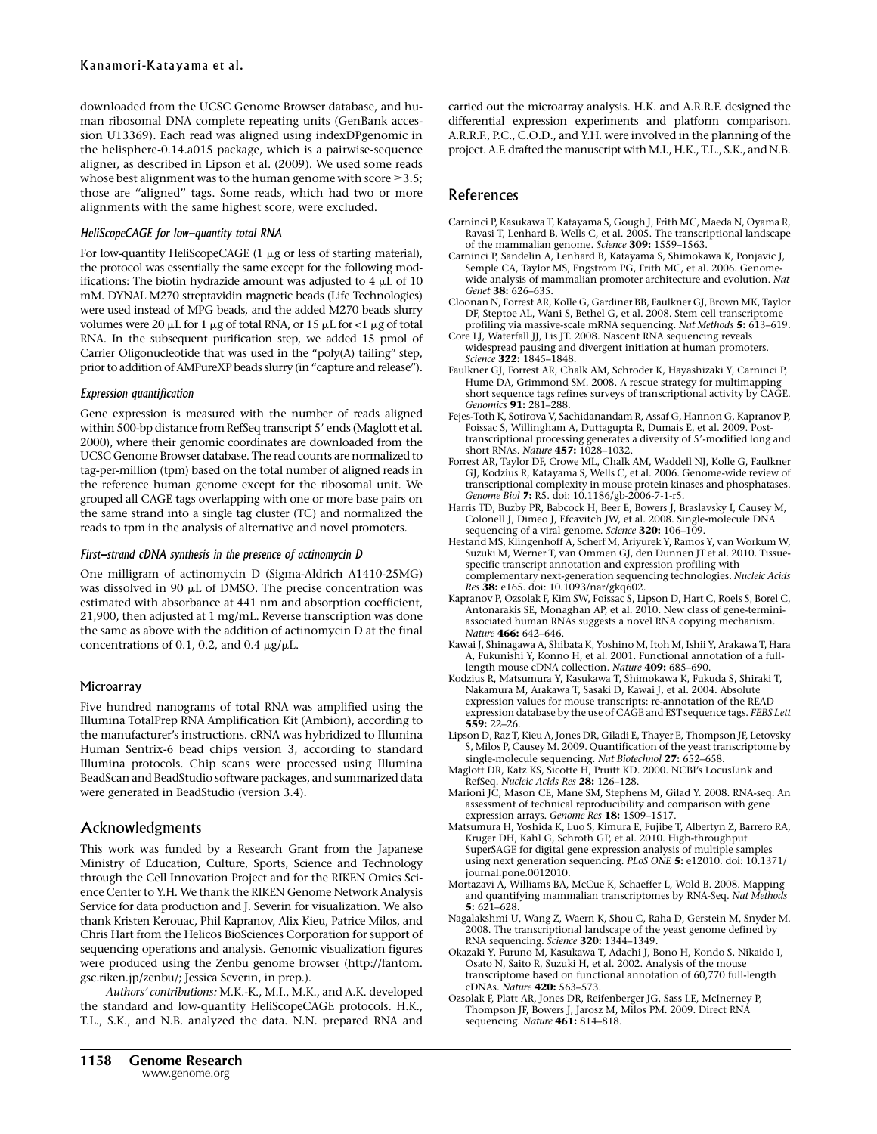downloaded from the UCSC Genome Browser database, and human ribosomal DNA complete repeating units (GenBank accession U13369). Each read was aligned using indexDPgenomic in the helisphere-0.14.a015 package, which is a pairwise-sequence aligner, as described in Lipson et al. (2009). We used some reads whose best alignment was to the human genome with score  $\geq$ 3.5; those are ''aligned'' tags. Some reads, which had two or more alignments with the same highest score, were excluded.

## HeliScopeCAGE for low-quantity total RNA

For low-quantity HeliScopeCAGE  $(1 \mu g)$  or less of starting material), the protocol was essentially the same except for the following modifications: The biotin hydrazide amount was adjusted to 4  $\mu$ L of 10 mM. DYNAL M270 streptavidin magnetic beads (Life Technologies) were used instead of MPG beads, and the added M270 beads slurry volumes were 20  $\mu$ L for 1  $\mu$ g of total RNA, or 15  $\mu$ L for <1  $\mu$ g of total RNA. In the subsequent purification step, we added 15 pmol of Carrier Oligonucleotide that was used in the ''poly(A) tailing'' step, prior to addition of AMPureXP beads slurry (in ''capture and release'').

#### Expression quantification

Gene expression is measured with the number of reads aligned within 500-bp distance from RefSeq transcript 5' ends (Maglott et al. 2000), where their genomic coordinates are downloaded from the UCSC Genome Browser database. The read counts are normalized to tag-per-million (tpm) based on the total number of aligned reads in the reference human genome except for the ribosomal unit. We grouped all CAGE tags overlapping with one or more base pairs on the same strand into a single tag cluster (TC) and normalized the reads to tpm in the analysis of alternative and novel promoters.

#### First-strand cDNA synthesis in the presence of actinomycin D

One milligram of actinomycin D (Sigma-Aldrich A1410-25MG) was dissolved in 90  $\mu$ L of DMSO. The precise concentration was estimated with absorbance at 441 nm and absorption coefficient, 21,900, then adjusted at 1 mg/mL. Reverse transcription was done the same as above with the addition of actinomycin D at the final concentrations of 0.1, 0.2, and 0.4  $\mu$ g/ $\mu$ L.

#### **Microarray**

Five hundred nanograms of total RNA was amplified using the Illumina TotalPrep RNA Amplification Kit (Ambion), according to the manufacturer's instructions. cRNA was hybridized to Illumina Human Sentrix-6 bead chips version 3, according to standard Illumina protocols. Chip scans were processed using Illumina BeadScan and BeadStudio software packages, and summarized data were generated in BeadStudio (version 3.4).

# Acknowledgments

This work was funded by a Research Grant from the Japanese Ministry of Education, Culture, Sports, Science and Technology through the Cell Innovation Project and for the RIKEN Omics Science Center to Y.H. We thank the RIKEN Genome Network Analysis Service for data production and J. Severin for visualization. We also thank Kristen Kerouac, Phil Kapranov, Alix Kieu, Patrice Milos, and Chris Hart from the Helicos BioSciences Corporation for support of sequencing operations and analysis. Genomic visualization figures were produced using the Zenbu genome browser (http://fantom. gsc.riken.jp/zenbu/; Jessica Severin, in prep.).

Authors' contributions: M.K.-K., M.I., M.K., and A.K. developed the standard and low-quantity HeliScopeCAGE protocols. H.K., T.L., S.K., and N.B. analyzed the data. N.N. prepared RNA and

# References

- Carninci P, Kasukawa T, Katayama S, Gough J, Frith MC, Maeda N, Oyama R, Ravasi T, Lenhard B, Wells C, et al. 2005. The transcriptional landscape of the mammalian genome. Science 309: 1559-1563.
- Carninci P, Sandelin A, Lenhard B, Katayama S, Shimokawa K, Ponjavic J, Semple CA, Taylor MS, Engstrom PG, Frith MC, et al. 2006. Genomewide analysis of mammalian promoter architecture and evolution. Nat Genet 38: 626-635.
- Cloonan N, Forrest AR, Kolle G, Gardiner BB, Faulkner GJ, Brown MK, Taylor DF, Steptoe AL, Wani S, Bethel G, et al. 2008. Stem cell transcriptome profiling via massive-scale mRNA sequencing. Nat Methods 5: 613–619.
- Core LJ, Waterfall JJ, Lis JT. 2008. Nascent RNA sequencing reveals widespread pausing and divergent initiation at human promoters. Science 322: 1845-1848.
- Faulkner GJ, Forrest AR, Chalk AM, Schroder K, Hayashizaki Y, Carninci P, Hume DA, Grimmond SM. 2008. A rescue strategy for multimapping short sequence tags refines surveys of transcriptional activity by CAGE. Genomics 91: 281–288.
- Fejes-Toth K, Sotirova V, Sachidanandam R, Assaf G, Hannon G, Kapranov P, Foissac S, Willingham A, Duttagupta R, Dumais E, et al. 2009. Posttranscriptional processing generates a diversity of 5'-modified long and short RNAs. Nature 457: 1028–1032.
- Forrest AR, Taylor DF, Crowe ML, Chalk AM, Waddell NJ, Kolle G, Faulkner GJ, Kodzius R, Katayama S, Wells C, et al. 2006. Genome-wide review of transcriptional complexity in mouse protein kinases and phosphatases.<br>*Genome Biol 7:* R5. doi: 10.1186/gb-2006-7-1-r5.
- Harris TD, Buzby PR, Babcock H, Beer E, Bowers J, Braslavsky I, Causey M, Colonell J, Dimeo J, Efcavitch JW, et al. 2008. Single-molecule DNA sequencing of a viral genome. Science 320: 106-109.
- Hestand MS, Klingenhoff A, Scherf M, Ariyurek Y, Ramos Y, van Workum W, Suzuki M, Werner T, van Ommen GJ, den Dunnen JT et al. 2010. Tissuespecific transcript annotation and expression profiling with complementary next-generation sequencing technologies. *Nucleic Acids<br>Res* **38:** e165. doi: 10.1093/nar/gkq602.
- Kapranov P, Ozsolak F, Kim SW, Foissac S, Lipson D, Hart C, Roels S, Borel C, Antonarakis SE, Monaghan AP, et al. 2010. New class of gene-terminiassociated human RNAs suggests a novel RNA copying mechanism. Nature 466: 642–646.
- Kawai J, Shinagawa A, Shibata K, Yoshino M, Itoh M, Ishii Y, Arakawa T, Hara A, Fukunishi Y, Konno H, et al. 2001. Functional annotation of a fulllength mouse cDNA collection. Nature 409: 685–690.
- Kodzius R, Matsumura Y, Kasukawa T, Shimokawa K, Fukuda S, Shiraki T, Nakamura M, Arakawa T, Sasaki D, Kawai J, et al. 2004. Absolute expression values for mouse transcripts: re-annotation of the READ expression database by the use of CAGE and EST sequence tags. FEBS Lett 559: 22–26.
- Lipson D, Raz T, Kieu A, Jones DR, Giladi E, Thayer E, Thompson JF, Letovsky S, Milos P, Causey M. 2009. Quantification of the yeast transcriptome by single-molecule sequencing. Nat Biotechnol 27: 652–658.
- Maglott DR, Katz KS, Sicotte H, Pruitt KD. 2000. NCBI's LocusLink and RefSeq. Nucleic Acids Res 28: 126-128.
- Marioni JC, Mason CE, Mane SM, Stephens M, Gilad Y. 2008. RNA-seq: An assessment of technical reproducibility and comparison with gene expression arrays. Genome Res 18: 1509–1517.
- Matsumura H, Yoshida K, Luo S, Kimura E, Fujibe T, Albertyn Z, Barrero RA, Kruger DH, Kahl G, Schroth GP, et al. 2010. High-throughput SuperSAGE for digital gene expression analysis of multiple samples using next generation sequencing. PLoS ONE 5: e12010. doi: 10.1371/ journal.pone.0012010.
- Mortazavi A, Williams BA, McCue K, Schaeffer L, Wold B. 2008. Mapping and quantifying mammalian transcriptomes by RNA-Seq. Nat Methods 5: 621–628.
- Nagalakshmi U, Wang Z, Waern K, Shou C, Raha D, Gerstein M, Snyder M. 2008. The transcriptional landscape of the yeast genome defined by RNA sequencing. Science 320: 1344-1349.
- Okazaki Y, Furuno M, Kasukawa T, Adachi J, Bono H, Kondo S, Nikaido I, Osato N, Saito R, Suzuki H, et al. 2002. Analysis of the mouse transcriptome based on functional annotation of 60,770 full-length cDNAs. Nature 420: 563–573.
- Ozsolak F, Platt AR, Jones DR, Reifenberger JG, Sass LE, McInerney P, Thompson JF, Bowers J, Jarosz M, Milos PM. 2009. Direct RNA sequencing. Nature 461: 814-818.